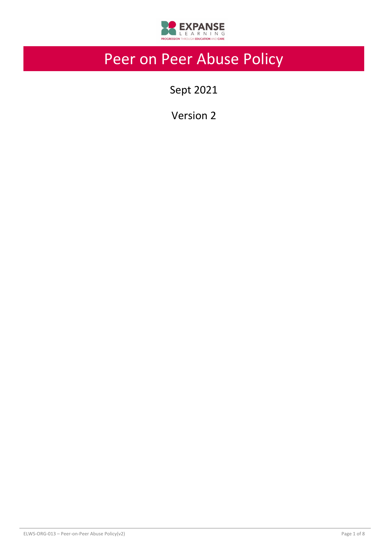

# Peer on Peer Abuse Policy

Sept 2021

Version 2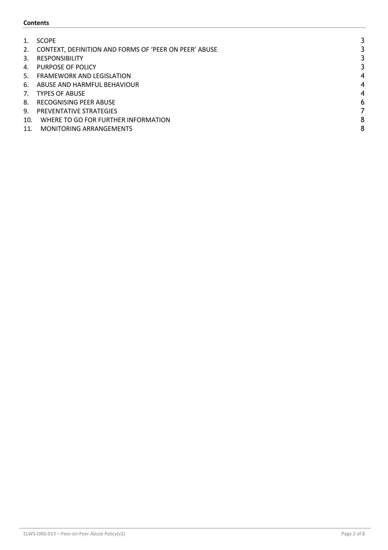## **Contents**

|     | <b>SCOPE</b>                                          |                          |
|-----|-------------------------------------------------------|--------------------------|
| 2.  | CONTEXT, DEFINITION AND FORMS OF 'PEER ON PEER' ABUSE |                          |
| 3.  | <b>RESPONSIBILITY</b>                                 |                          |
| 4.  | PURPOSE OF POLICY                                     |                          |
| 5.  | <b>FRAMEWORK AND LEGISLATION</b>                      | 4                        |
| 6.  | ABUSE AND HARMFUL BEHAVIOUR                           | $\overline{\mathcal{A}}$ |
| 7.  | <b>TYPES OF ABUSE</b>                                 | $\overline{\mathcal{A}}$ |
| 8.  | RECOGNISING PEER ABUSE                                | 6                        |
| 9.  | <b>PREVENTATIVE STRATEGIES</b>                        |                          |
| 10. | WHERE TO GO FOR FURTHER INFORMATION                   | 8                        |
| 11. | <b>MONITORING ARRANGEMENTS</b>                        | 8                        |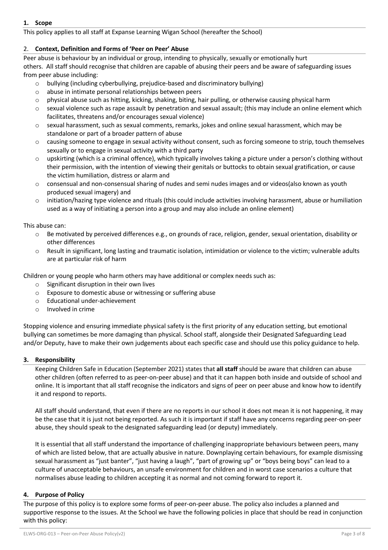# **1. Scope**

This policy applies to all staff at Expanse Learning Wigan School (hereafter the School)

# 2. **Context, Definition and Forms of 'Peer on Peer' Abuse**

Peer abuse is behaviour by an individual or group, intending to physically, sexually or emotionally hurt others. All staff should recognise that children are capable of abusing their peers and be aware of safeguarding issues from peer abuse including:

- o bullying (including cyberbullying, prejudice-based and discriminatory bullying)
- o abuse in intimate personal relationships between peers
- o physical abuse such as hitting, kicking, shaking, biting, hair pulling, or otherwise causing physical harm
- o sexual violence such as rape assault by penetration and sexual assault; (this may include an online element which facilitates, threatens and/or encourages sexual violence)
- o sexual harassment, such as sexual comments, remarks, jokes and online sexual harassment, which may be standalone or part of a broader pattern of abuse
- $\circ$  causing someone to engage in sexual activity without consent, such as forcing someone to strip, touch themselves sexually or to engage in sexual activity with a third party
- $\circ$  upskirting (which is a criminal offence), which typically involves taking a picture under a person's clothing without their permission, with the intention of viewing their genitals or buttocks to obtain sexual gratification, or cause the victim humiliation, distress or alarm and
- $\circ$  consensual and non-consensual sharing of nudes and semi nudes images and or videos(also known as youth produced sexual imagery) and
- o initiation/hazing type violence and rituals (this could include activities involving harassment, abuse or humiliation used as a way of initiating a person into a group and may also include an online element)

## This abuse can:

- $\circ$  Be motivated by perceived differences e.g., on grounds of race, religion, gender, sexual orientation, disability or other differences
- o Result in significant, long lasting and traumatic isolation, intimidation or violence to the victim; vulnerable adults are at particular risk of harm

Children or young people who harm others may have additional or complex needs such as:

- o Significant disruption in their own lives
- o Exposure to domestic abuse or witnessing or suffering abuse
- o Educational under-achievement
- o Involved in crime

Stopping violence and ensuring immediate physical safety is the first priority of any education setting, but emotional bullying can sometimes be more damaging than physical. School staff, alongside their Designated Safeguarding Lead and/or Deputy, have to make their own judgements about each specific case and should use this policy guidance to help.

## **3. Responsibility**

Keeping Children Safe in Education (September 2021) states that **all staff** should be aware that children can abuse other children (often referred to as peer-on-peer abuse) and that it can happen both inside and outside of school and online. It is important that all staff recognise the indicators and signs of peer on peer abuse and know how to identify it and respond to reports.

All staff should understand, that even if there are no reports in our school it does not mean it is not happening, it may be the case that it is just not being reported. As such it is important if staff have any concerns regarding peer-on-peer abuse, they should speak to the designated safeguarding lead (or deputy) immediately.

It is essential that all staff understand the importance of challenging inappropriate behaviours between peers, many of which are listed below, that are actually abusive in nature. Downplaying certain behaviours, for example dismissing sexual harassment as "just banter", "just having a laugh", "part of growing up" or "boys being boys" can lead to a culture of unacceptable behaviours, an unsafe environment for children and in worst case scenarios a culture that normalises abuse leading to children accepting it as normal and not coming forward to report it.

## **4. Purpose of Policy**

The purpose of this policy is to explore some forms of peer-on-peer abuse. The policy also includes a planned and supportive response to the issues. At the School we have the following policies in place that should be read in conjunction with this policy: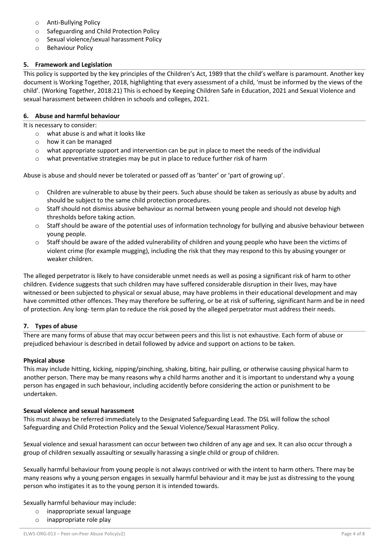- o Anti-Bullying Policy
- o Safeguarding and Child Protection Policy
- o Sexual violence/sexual harassment Policy
- o Behaviour Policy

# **5. Framework and Legislation**

This policy is supported by the key principles of the Children's Act, 1989 that the child's welfare is paramount. Another key document is Working Together, 2018, highlighting that every assessment of a child, 'must be informed by the views of the child'. (Working Together, 2018:21) This is echoed by Keeping Children Safe in Education, 2021 and Sexual Violence and sexual harassment between children in schools and colleges, 2021.

#### **6. Abuse and harmful behaviour**

It is necessary to consider:

- o what abuse is and what it looks like
	- o how it can be managed
	- $\circ$  what appropriate support and intervention can be put in place to meet the needs of the individual
	- $\circ$  what preventative strategies may be put in place to reduce further risk of harm

Abuse is abuse and should never be tolerated or passed off as 'banter' or 'part of growing up'.

- o Children are vulnerable to abuse by their peers. Such abuse should be taken as seriously as abuse by adults and should be subject to the same child protection procedures.
- o Staff should not dismiss abusive behaviour as normal between young people and should not develop high thresholds before taking action.
- $\circ$  Staff should be aware of the potential uses of information technology for bullying and abusive behaviour between young people.
- $\circ$  Staff should be aware of the added vulnerability of children and young people who have been the victims of violent crime (for example mugging), including the risk that they may respond to this by abusing younger or weaker children.

The alleged perpetrator is likely to have considerable unmet needs as well as posing a significant risk of harm to other children. Evidence suggests that such children may have suffered considerable disruption in their lives, may have witnessed or been subjected to physical or sexual abuse, may have problems in their educational development and may have committed other offences. They may therefore be suffering, or be at risk of suffering, significant harm and be in need of protection. Any long- term plan to reduce the risk posed by the alleged perpetrator must address their needs.

## **7. Types of abuse**

There are many forms of abuse that may occur between peers and this list is not exhaustive. Each form of abuse or prejudiced behaviour is described in detail followed by advice and support on actions to be taken.

## **Physical abuse**

This may include hitting, kicking, nipping/pinching, shaking, biting, hair pulling, or otherwise causing physical harm to another person. There may be many reasons why a child harms another and it is important to understand why a young person has engaged in such behaviour, including accidently before considering the action or punishment to be undertaken.

## **Sexual violence and sexual harassment**

This must always be referred immediately to the Designated Safeguarding Lead. The DSL will follow the school Safeguarding and Child Protection Policy and the Sexual Violence/Sexual Harassment Policy.

Sexual violence and sexual harassment can occur between two children of any age and sex. It can also occur through a group of children sexually assaulting or sexually harassing a single child or group of children.

Sexually harmful behaviour from young people is not always contrived or with the intent to harm others. There may be many reasons why a young person engages in sexually harmful behaviour and it may be just as distressing to the young person who instigates it as to the young person it is intended towards.

Sexually harmful behaviour may include:

- o inappropriate sexual language
- o inappropriate role play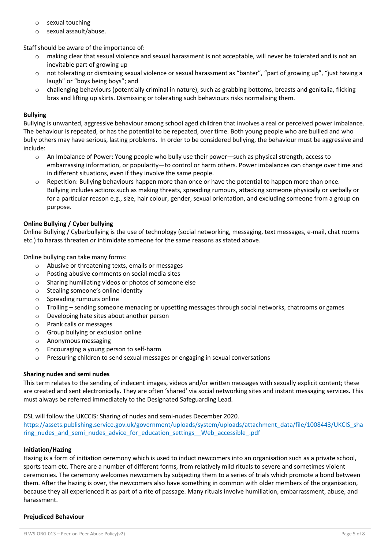- o sexual touching
- o sexual assault/abuse.

Staff should be aware of the importance of:

- o making clear that sexual violence and sexual harassment is not acceptable, will never be tolerated and is not an inevitable part of growing up
- o not tolerating or dismissing sexual violence or sexual harassment as "banter", "part of growing up", "just having a laugh" or "boys being boys"; and
- o challenging behaviours (potentially criminal in nature), such as grabbing bottoms, breasts and genitalia, flicking bras and lifting up skirts. Dismissing or tolerating such behaviours risks normalising them.

# **Bullying**

Bullying is unwanted, aggressive behaviour among school aged children that involves a real or perceived power imbalance. The behaviour is repeated, or has the potential to be repeated, over time. Both young people who are bullied and who bully others may have serious, lasting problems. In order to be considered bullying, the behaviour must be aggressive and include:

- o An Imbalance of Power: Young people who bully use their power—such as physical strength, access to embarrassing information, or popularity—to control or harm others. Power imbalances can change over time and in different situations, even if they involve the same people.
- o Repetition: Bullying behaviours happen more than once or have the potential to happen more than once. Bullying includes actions such as making threats, spreading rumours, attacking someone physically or verbally or for a particular reason e.g., size, hair colour, gender, sexual orientation, and excluding someone from a group on purpose.

## **Online Bullying / Cyber bullying**

Online Bullying / Cyberbullying is the use of technology (social networking, messaging, text messages, e-mail, chat rooms etc.) to harass threaten or intimidate someone for the same reasons as stated above.

Online bullying can take many forms:

- o Abusive or threatening texts, emails or messages
- o Posting abusive comments on social media sites
- o Sharing humiliating videos or photos of someone else
- o Stealing someone's online identity
- o Spreading rumours online
- o Trolling sending someone menacing or upsetting messages through social networks, chatrooms or games
- o Developing hate sites about another person
- o Prank calls or messages
- o Group bullying or exclusion online
- o Anonymous messaging
- o Encouraging a young person to self-harm
- o Pressuring children to send sexual messages or engaging in sexual conversations

## **Sharing nudes and semi nudes**

This term relates to the sending of indecent images, videos and/or written messages with sexually explicit content; these are created and sent electronically. They are often 'shared' via social networking sites and instant messaging services. This must always be referred immediately to the Designated Safeguarding Lead.

## DSL will follow the UKCCIS: Sharing of nudes and semi-nudes December 2020.

https://assets.publishing.service.gov.uk/government/uploads/system/uploads/attachment\_data/file/1008443/UKCIS\_sha ring\_nudes\_and\_semi\_nudes\_advice\_for\_education\_settings\_\_Web\_accessible\_.pdf

## **Initiation/Hazing**

Hazing is a form of initiation ceremony which is used to induct newcomers into an organisation such as a private school, sports team etc. There are a number of different forms, from relatively mild rituals to severe and sometimes violent ceremonies. The ceremony welcomes newcomers by subjecting them to a series of trials which promote a bond between them. After the hazing is over, the newcomers also have something in common with older members of the organisation, because they all experienced it as part of a rite of passage. Many rituals involve humiliation, embarrassment, abuse, and harassment.

## **Prejudiced Behaviour**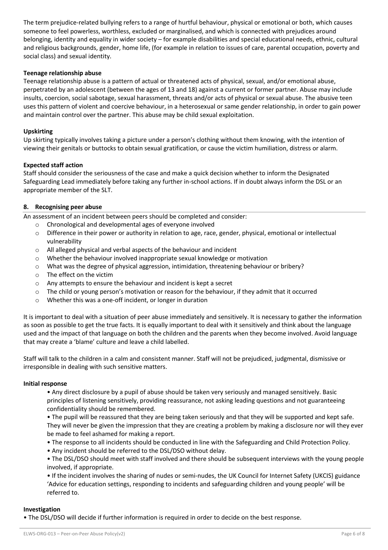The term prejudice-related bullying refers to a range of hurtful behaviour, physical or emotional or both, which causes someone to feel powerless, worthless, excluded or marginalised, and which is connected with prejudices around belonging, identity and equality in wider society – for example disabilities and special educational needs, ethnic, cultural and religious backgrounds, gender, home life, (for example in relation to issues of care, parental occupation, poverty and social class) and sexual identity.

## **Teenage relationship abuse**

Teenage relationship abuse is a pattern of actual or threatened acts of physical, sexual, and/or emotional abuse, perpetrated by an adolescent (between the ages of 13 and 18) against a current or former partner. Abuse may include insults, coercion, social sabotage, sexual harassment, threats and/or acts of physical or sexual abuse. The abusive teen uses this pattern of violent and coercive behaviour, in a heterosexual or same gender relationship, in order to gain power and maintain control over the partner. This abuse may be child sexual exploitation.

#### **Upskirting**

Up skirting typically involves taking a picture under a person's clothing without them knowing, with the intention of viewing their genitals or buttocks to obtain sexual gratification, or cause the victim humiliation, distress or alarm.

#### **Expected staff action**

Staff should consider the seriousness of the case and make a quick decision whether to inform the Designated Safeguarding Lead immediately before taking any further in-school actions. If in doubt always inform the DSL or an appropriate member of the SLT.

## **8. Recognising peer abuse**

An assessment of an incident between peers should be completed and consider:

- o Chronological and developmental ages of everyone involved
- o Difference in their power or authority in relation to age, race, gender, physical, emotional or intellectual vulnerability
- o All alleged physical and verbal aspects of the behaviour and incident
- o Whether the behaviour involved inappropriate sexual knowledge or motivation
- o What was the degree of physical aggression, intimidation, threatening behaviour or bribery?
- o The effect on the victim
- o Any attempts to ensure the behaviour and incident is kept a secret
- o The child or young person's motivation or reason for the behaviour, if they admit that it occurred
- o Whether this was a one-off incident, or longer in duration

It is important to deal with a situation of peer abuse immediately and sensitively. It is necessary to gather the information as soon as possible to get the true facts. It is equally important to deal with it sensitively and think about the language used and the impact of that language on both the children and the parents when they become involved. Avoid language that may create a 'blame' culture and leave a child labelled.

Staff will talk to the children in a calm and consistent manner. Staff will not be prejudiced, judgmental, dismissive or irresponsible in dealing with such sensitive matters.

#### **Initial response**

• Any direct disclosure by a pupil of abuse should be taken very seriously and managed sensitively. Basic principles of listening sensitively, providing reassurance, not asking leading questions and not guaranteeing confidentiality should be remembered.

• The pupil will be reassured that they are being taken seriously and that they will be supported and kept safe. They will never be given the impression that they are creating a problem by making a disclosure nor will they ever be made to feel ashamed for making a report.

- The response to all incidents should be conducted in line with the Safeguarding and Child Protection Policy.
- Any incident should be referred to the DSL/DSO without delay.

• The DSL/DSO should meet with staff involved and there should be subsequent interviews with the young people involved, if appropriate.

• If the incident involves the sharing of nudes or semi-nudes, the UK Council for Internet Safety (UKCIS) guidance 'Advice for education settings, responding to incidents and safeguarding children and young people' will be referred to.

#### **Investigation**

• The DSL/DSO will decide if further information is required in order to decide on the best response.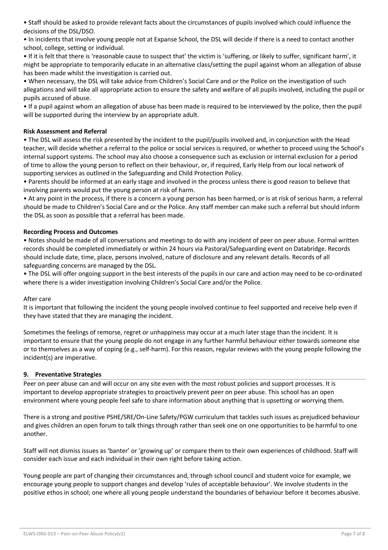• Staff should be asked to provide relevant facts about the circumstances of pupils involved which could influence the decisions of the DSL/DSO.

• In incidents that involve young people not at Expanse School, the DSL will decide if there is a need to contact another school, college, setting or individual.

• If it is felt that there is 'reasonable cause to suspect that' the victim is 'suffering, or likely to suffer, significant harm', it might be appropriate to temporarily educate in an alternative class/setting the pupil against whom an allegation of abuse has been made whilst the investigation is carried out.

• When necessary, the DSL will take advice from Children's Social Care and or the Police on the investigation of such allegations and will take all appropriate action to ensure the safety and welfare of all pupils involved, including the pupil or pupils accused of abuse.

• If a pupil against whom an allegation of abuse has been made is required to be interviewed by the police, then the pupil will be supported during the interview by an appropriate adult.

# **Risk Assessment and Referral**

• The DSL will assess the risk presented by the incident to the pupil/pupils involved and, in conjunction with the Head teacher, will decide whether a referral to the police or social services is required, or whether to proceed using the School's internal support systems. The school may also choose a consequence such as exclusion or internal exclusion for a period of time to allow the young person to reflect on their behaviour, or, if required, Early Help from our local network of supporting services as outlined in the Safeguarding and Child Protection Policy.

• Parents should be informed at an early stage and involved in the process unless there is good reason to believe that involving parents would put the young person at risk of harm.

• At any point in the process, if there is a concern a young person has been harmed, or is at risk of serious harm, a referral should be made to Children's Social Care and or the Police. Any staff member can make such a referral but should inform the DSL as soon as possible that a referral has been made.

## **Recording Process and Outcomes**

• Notes should be made of all conversations and meetings to do with any incident of peer on peer abuse. Formal written records should be completed immediately or within 24 hours via Pastoral/Safeguarding event on Databridge. Records should include date, time, place, persons involved, nature of disclosure and any relevant details. Records of all safeguarding concerns are managed by the DSL.

• The DSL will offer ongoing support in the best interests of the pupils in our care and action may need to be co-ordinated where there is a wider investigation involving Children's Social Care and/or the Police.

## After care

It is important that following the incident the young people involved continue to feel supported and receive help even if they have stated that they are managing the incident.

Sometimes the feelings of remorse, regret or unhappiness may occur at a much later stage than the incident. It is important to ensure that the young people do not engage in any further harmful behaviour either towards someone else or to themselves as a way of coping (e.g., self-harm). For this reason, regular reviews with the young people following the incident(s) are imperative.

## **9. Preventative Strategies**

Peer on peer abuse can and will occur on any site even with the most robust policies and support processes. It is important to develop appropriate strategies to proactively prevent peer on peer abuse. This school has an open environment where young people feel safe to share information about anything that is upsetting or worrying them.

There is a strong and positive PSHE/SRE/On-Line Safety/PGW curriculum that tackles such issues as prejudiced behaviour and gives children an open forum to talk things through rather than seek one on one opportunities to be harmful to one another.

Staff will not dismiss issues as 'banter' or 'growing up' or compare them to their own experiences of childhood. Staff will consider each issue and each individual in their own right before taking action.

Young people are part of changing their circumstances and, through school council and student voice for example, we encourage young people to support changes and develop 'rules of acceptable behaviour'. We involve students in the positive ethos in school; one where all young people understand the boundaries of behaviour before it becomes abusive.